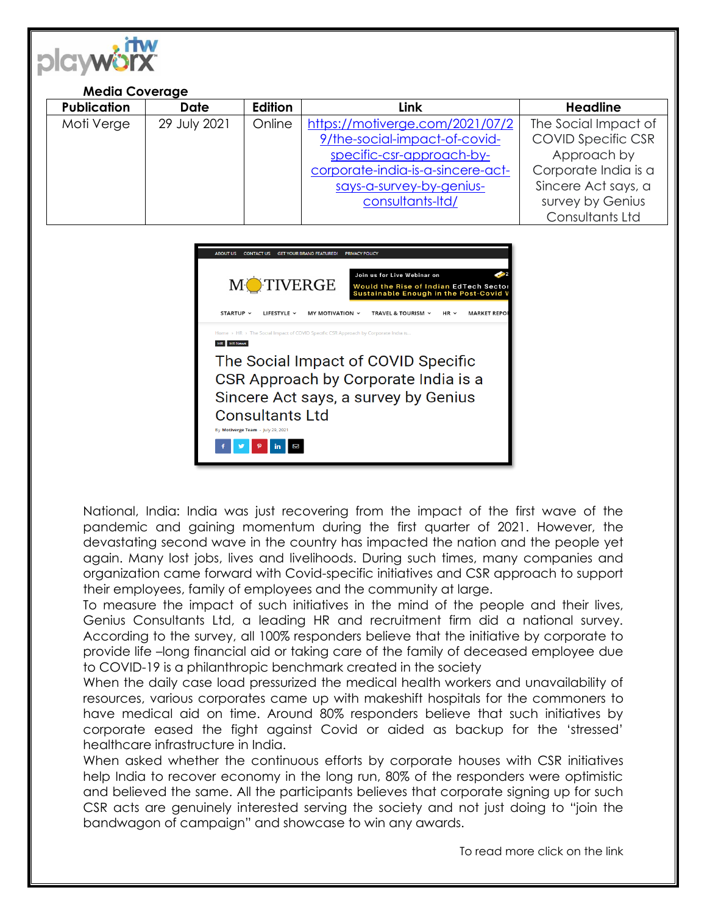

## **Media Coverage**

| <b>Publication</b> | Date         | Edition | Link                              | <b>Headline</b>           |
|--------------------|--------------|---------|-----------------------------------|---------------------------|
| Moti Verge         | 29 July 2021 | Online  | https://motiverge.com/2021/07/2   | The Social Impact of      |
|                    |              |         | 9/the-social-impact-of-covid-     | <b>COVID Specific CSR</b> |
|                    |              |         | specific-csr-approach-by-         | Approach by               |
|                    |              |         | corporate-india-is-a-sincere-act- | Corporate India is a      |
|                    |              |         | says-a-survey-by-genius-          | Sincere Act says, a       |
|                    |              |         | consultants-Itd/                  | survey by Genius          |
|                    |              |         |                                   | Consultants Ltd           |

| <b>ABOUT US</b><br><b>CONTACT US</b><br><b>GET YOUR BRAND FEATURED!</b><br><b>PRIVACY POLICY</b>                                                                                   |  |  |  |  |  |
|------------------------------------------------------------------------------------------------------------------------------------------------------------------------------------|--|--|--|--|--|
| Join us for Live Webinar on<br><b>MOTIVERGE</b><br>Would the Rise of Indian EdTech Sector<br>Sustainable Enough in the Post-Covid V                                                |  |  |  |  |  |
| STARTUP $\sim$<br>LIFESTYLE Y<br>MY MOTIVATION Y<br>TRAVEL & TOURISM Y<br>HR $\sim$<br>MARKET REPO                                                                                 |  |  |  |  |  |
| Home > HR > The Social Impact of COVID Specific CSR Approach by Corporate India is<br><b>HR News</b>                                                                               |  |  |  |  |  |
| The Social Impact of COVID Specific<br>CSR Approach by Corporate India is a<br>Sincere Act says, a survey by Genius<br><b>Consultants Ltd</b><br>By Motiverge Team - July 29, 2021 |  |  |  |  |  |

National, India: India was just recovering from the impact of the first wave of the pandemic and gaining momentum during the first quarter of 2021. However, the devastating second wave in the country has impacted the nation and the people yet again. Many lost jobs, lives and livelihoods. During such times, many companies and organization came forward with Covid-specific initiatives and CSR approach to support their employees, family of employees and the community at large.

To measure the impact of such initiatives in the mind of the people and their lives, Genius Consultants Ltd, a leading HR and recruitment firm did a national survey. According to the survey, all 100% responders believe that the initiative by corporate to provide life –long financial aid or taking care of the family of deceased employee due to COVID-19 is a philanthropic benchmark created in the society

When the daily case load pressurized the medical health workers and unavailability of resources, various corporates came up with makeshift hospitals for the commoners to have medical aid on time. Around 80% responders believe that such initiatives by corporate eased the fight against Covid or aided as backup for the 'stressed' healthcare infrastructure in India.

When asked whether the continuous efforts by corporate houses with CSR initiatives help India to recover economy in the long run, 80% of the responders were optimistic and believed the same. All the participants believes that corporate signing up for such CSR acts are genuinely interested serving the society and not just doing to "join the bandwagon of campaign" and showcase to win any awards.

To read more click on the link